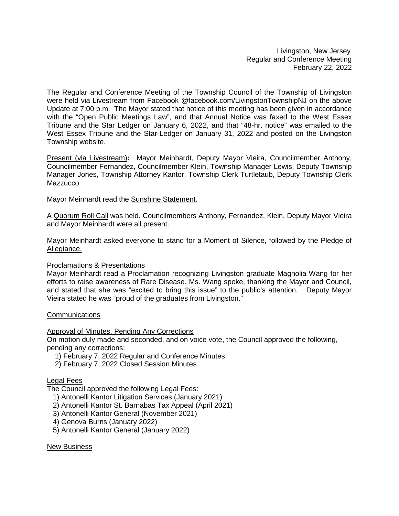Livingston, New Jersey Regular and Conference Meeting February 22, 2022

The Regular and Conference Meeting of the Township Council of the Township of Livingston were held via Livestream from Facebook @facebook.com/LivingstonTownshipNJ on the above Update at 7:00 p.m. The Mayor stated that notice of this meeting has been given in accordance with the "Open Public Meetings Law", and that Annual Notice was faxed to the West Essex Tribune and the Star Ledger on January 6, 2022, and that "48-hr. notice" was emailed to the West Essex Tribune and the Star-Ledger on January 31, 2022 and posted on the Livingston Township website.

Present (via Livestream)**:** Mayor Meinhardt, Deputy Mayor Vieira, Councilmember Anthony, Councilmember Fernandez, Councilmember Klein, Township Manager Lewis, Deputy Township Manager Jones, Township Attorney Kantor, Township Clerk Turtletaub, Deputy Township Clerk **Mazzucco** 

Mayor Meinhardt read the Sunshine Statement.

A Quorum Roll Call was held. Councilmembers Anthony, Fernandez, Klein, Deputy Mayor Vieira and Mayor Meinhardt were all present.

Mayor Meinhardt asked everyone to stand for a Moment of Silence, followed by the Pledge of Allegiance.

## Proclamations & Presentations

Mayor Meinhardt read a Proclamation recognizing Livingston graduate Magnolia Wang for her efforts to raise awareness of Rare Disease. Ms. Wang spoke, thanking the Mayor and Council, and stated that she was "excited to bring this issue" to the public's attention. Deputy Mayor Vieira stated he was "proud of the graduates from Livingston."

## **Communications**

Approval of Minutes, Pending Any Corrections

On motion duly made and seconded, and on voice vote, the Council approved the following, pending any corrections:

- 1) February 7, 2022 Regular and Conference Minutes
- 2) February 7, 2022 Closed Session Minutes

## Legal Fees

The Council approved the following Legal Fees:

- 1) Antonelli Kantor Litigation Services (January 2021)
- 2) Antonelli Kantor St. Barnabas Tax Appeal (April 2021)
- 3) Antonelli Kantor General (November 2021)
- 4) Genova Burns (January 2022)
- 5) Antonelli Kantor General (January 2022)

## New Business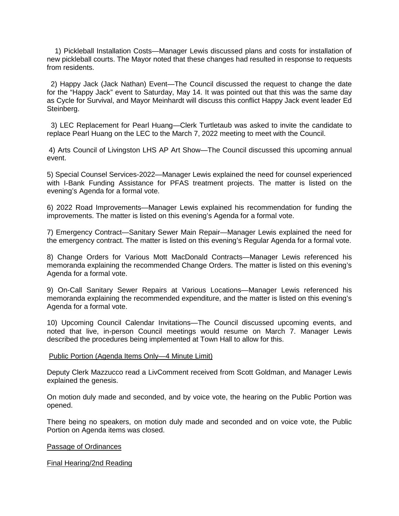1) Pickleball Installation Costs—Manager Lewis discussed plans and costs for installation of new pickleball courts. The Mayor noted that these changes had resulted in response to requests from residents.

 2) Happy Jack (Jack Nathan) Event—The Council discussed the request to change the date for the "Happy Jack" event to Saturday, May 14. It was pointed out that this was the same day as Cycle for Survival, and Mayor Meinhardt will discuss this conflict Happy Jack event leader Ed Steinberg.

 3) LEC Replacement for Pearl Huang—Clerk Turtletaub was asked to invite the candidate to replace Pearl Huang on the LEC to the March 7, 2022 meeting to meet with the Council.

4) Arts Council of Livingston LHS AP Art Show—The Council discussed this upcoming annual event.

5) Special Counsel Services-2022—Manager Lewis explained the need for counsel experienced with I-Bank Funding Assistance for PFAS treatment projects. The matter is listed on the evening's Agenda for a formal vote.

6) 2022 Road Improvements—Manager Lewis explained his recommendation for funding the improvements. The matter is listed on this evening's Agenda for a formal vote.

7) Emergency Contract—Sanitary Sewer Main Repair—Manager Lewis explained the need for the emergency contract. The matter is listed on this evening's Regular Agenda for a formal vote.

8) Change Orders for Various Mott MacDonald Contracts—Manager Lewis referenced his memoranda explaining the recommended Change Orders. The matter is listed on this evening's Agenda for a formal vote.

9) On-Call Sanitary Sewer Repairs at Various Locations—Manager Lewis referenced his memoranda explaining the recommended expenditure, and the matter is listed on this evening's Agenda for a formal vote.

10) Upcoming Council Calendar Invitations—The Council discussed upcoming events, and noted that live, in-person Council meetings would resume on March 7. Manager Lewis described the procedures being implemented at Town Hall to allow for this.

## Public Portion (Agenda Items Only—4 Minute Limit)

Deputy Clerk Mazzucco read a LivComment received from Scott Goldman, and Manager Lewis explained the genesis.

On motion duly made and seconded, and by voice vote, the hearing on the Public Portion was opened.

There being no speakers, on motion duly made and seconded and on voice vote, the Public Portion on Agenda items was closed.

#### Passage of Ordinances

#### Final Hearing/2nd Reading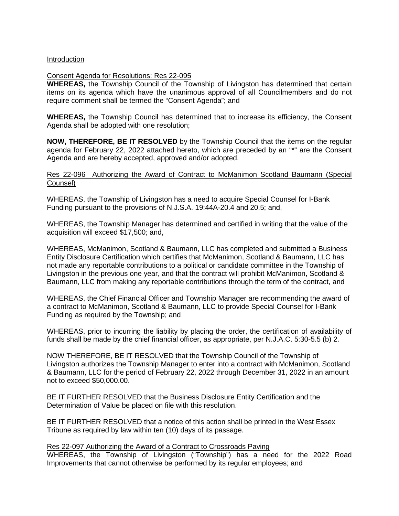## Introduction

## Consent Agenda for Resolutions: Res 22-095

**WHEREAS,** the Township Council of the Township of Livingston has determined that certain items on its agenda which have the unanimous approval of all Councilmembers and do not require comment shall be termed the "Consent Agenda"; and

**WHEREAS,** the Township Council has determined that to increase its efficiency, the Consent Agenda shall be adopted with one resolution;

**NOW, THEREFORE, BE IT RESOLVED** by the Township Council that the items on the regular agenda for February 22, 2022 attached hereto, which are preceded by an "\*" are the Consent Agenda and are hereby accepted, approved and/or adopted.

# Res 22-096 Authorizing the Award of Contract to McManimon Scotland Baumann (Special Counsel)

WHEREAS, the Township of Livingston has a need to acquire Special Counsel for I-Bank Funding pursuant to the provisions of N.J.S.A. 19:44A-20.4 and 20.5; and,

WHEREAS, the Township Manager has determined and certified in writing that the value of the acquisition will exceed \$17,500; and,

WHEREAS, McManimon, Scotland & Baumann, LLC has completed and submitted a Business Entity Disclosure Certification which certifies that McManimon, Scotland & Baumann, LLC has not made any reportable contributions to a political or candidate committee in the Township of Livingston in the previous one year, and that the contract will prohibit McManimon, Scotland & Baumann, LLC from making any reportable contributions through the term of the contract, and

WHEREAS, the Chief Financial Officer and Township Manager are recommending the award of a contract to McManimon, Scotland & Baumann, LLC to provide Special Counsel for I-Bank Funding as required by the Township; and

WHEREAS, prior to incurring the liability by placing the order, the certification of availability of funds shall be made by the chief financial officer, as appropriate, per N.J.A.C. 5:30-5.5 (b) 2.

NOW THEREFORE, BE IT RESOLVED that the Township Council of the Township of Livingston authorizes the Township Manager to enter into a contract with McManimon, Scotland & Baumann, LLC for the period of February 22, 2022 through December 31, 2022 in an amount not to exceed \$50,000.00.

BE IT FURTHER RESOLVED that the Business Disclosure Entity Certification and the Determination of Value be placed on file with this resolution.

BE IT FURTHER RESOLVED that a notice of this action shall be printed in the West Essex Tribune as required by law within ten (10) days of its passage.

## Res 22-097 Authorizing the Award of a Contract to Crossroads Paving

WHEREAS, the Township of Livingston ("Township") has a need for the 2022 Road Improvements that cannot otherwise be performed by its regular employees; and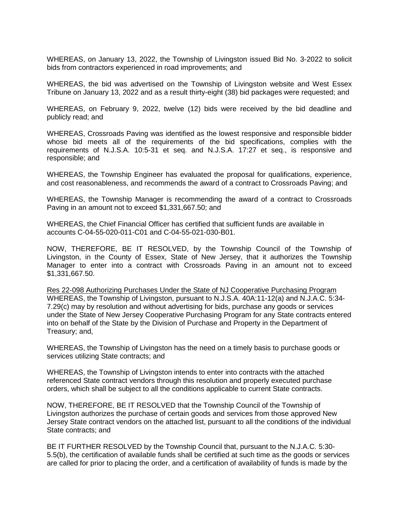WHEREAS, on January 13, 2022, the Township of Livingston issued Bid No. 3-2022 to solicit bids from contractors experienced in road improvements; and

WHEREAS, the bid was advertised on the Township of Livingston website and West Essex Tribune on January 13, 2022 and as a result thirty-eight (38) bid packages were requested; and

WHEREAS, on February 9, 2022, twelve (12) bids were received by the bid deadline and publicly read; and

WHEREAS, Crossroads Paving was identified as the lowest responsive and responsible bidder whose bid meets all of the requirements of the bid specifications, complies with the requirements of N.J.S.A. 10:5-31 et seq. and N.J.S.A. 17:27 et seq., is responsive and responsible; and

WHEREAS, the Township Engineer has evaluated the proposal for qualifications, experience, and cost reasonableness, and recommends the award of a contract to Crossroads Paving; and

WHEREAS, the Township Manager is recommending the award of a contract to Crossroads Paving in an amount not to exceed \$1,331,667.50; and

WHEREAS, the Chief Financial Officer has certified that sufficient funds are available in accounts C-04-55-020-011-C01 and C-04-55-021-030-B01.

NOW, THEREFORE, BE IT RESOLVED, by the Township Council of the Township of Livingston, in the County of Essex, State of New Jersey, that it authorizes the Township Manager to enter into a contract with Crossroads Paving in an amount not to exceed \$1,331,667.50.

Res 22-098 Authorizing Purchases Under the State of NJ Cooperative Purchasing Program WHEREAS, the Township of Livingston, pursuant to N.J.S.A. 40A:11-12(a) and N.J.A.C. 5:34- 7.29(c) may by resolution and without advertising for bids, purchase any goods or services under the State of New Jersey Cooperative Purchasing Program for any State contracts entered into on behalf of the State by the Division of Purchase and Property in the Department of Treasury; and,

WHEREAS, the Township of Livingston has the need on a timely basis to purchase goods or services utilizing State contracts; and

WHEREAS, the Township of Livingston intends to enter into contracts with the attached referenced State contract vendors through this resolution and properly executed purchase orders, which shall be subject to all the conditions applicable to current State contracts.

NOW, THEREFORE, BE IT RESOLVED that the Township Council of the Township of Livingston authorizes the purchase of certain goods and services from those approved New Jersey State contract vendors on the attached list, pursuant to all the conditions of the individual State contracts; and

BE IT FURTHER RESOLVED by the Township Council that, pursuant to the N.J.A.C. 5:30- 5.5(b), the certification of available funds shall be certified at such time as the goods or services are called for prior to placing the order, and a certification of availability of funds is made by the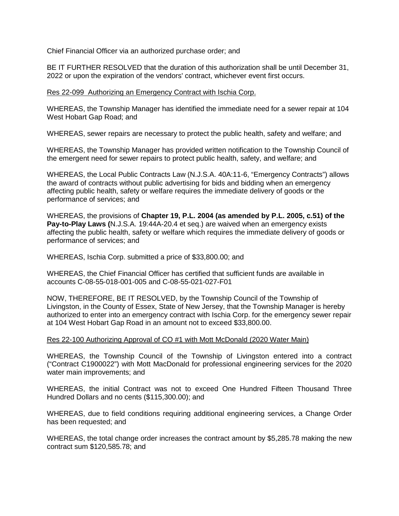Chief Financial Officer via an authorized purchase order; and

BE IT FURTHER RESOLVED that the duration of this authorization shall be until December 31, 2022 or upon the expiration of the vendors' contract, whichever event first occurs.

# Res 22-099 Authorizing an Emergency Contract with Ischia Corp.

WHEREAS, the Township Manager has identified the immediate need for a sewer repair at 104 West Hobart Gap Road; and

WHEREAS, sewer repairs are necessary to protect the public health, safety and welfare; and

WHEREAS, the Township Manager has provided written notification to the Township Council of the emergent need for sewer repairs to protect public health, safety, and welfare; and

WHEREAS, the Local Public Contracts Law (N.J.S.A. 40A:11-6, "Emergency Contracts") allows the award of contracts without public advertising for bids and bidding when an emergency affecting public health, safety or welfare requires the immediate delivery of goods or the performance of services; and

WHEREAS, the provisions of **Chapter 19, P.L. 2004 (as amended by P.L. 2005, c.51) of the Pay-to-Play Laws (**N.J.S.A. 19:44A-20.4 et seq.) are waived when an emergency exists affecting the public health, safety or welfare which requires the immediate delivery of goods or performance of services; and

WHEREAS, Ischia Corp. submitted a price of \$33,800.00; and

WHEREAS, the Chief Financial Officer has certified that sufficient funds are available in accounts C-08-55-018-001-005 and C-08-55-021-027-F01

NOW, THEREFORE, BE IT RESOLVED, by the Township Council of the Township of Livingston, in the County of Essex, State of New Jersey, that the Township Manager is hereby authorized to enter into an emergency contract with Ischia Corp. for the emergency sewer repair at 104 West Hobart Gap Road in an amount not to exceed \$33,800.00.

## Res 22-100 Authorizing Approval of CO #1 with Mott McDonald (2020 Water Main)

WHEREAS, the Township Council of the Township of Livingston entered into a contract ("Contract C1900022") with Mott MacDonald for professional engineering services for the 2020 water main improvements; and

WHEREAS, the initial Contract was not to exceed One Hundred Fifteen Thousand Three Hundred Dollars and no cents (\$115,300.00); and

WHEREAS, due to field conditions requiring additional engineering services, a Change Order has been requested; and

WHEREAS, the total change order increases the contract amount by \$5,285.78 making the new contract sum \$120,585.78; and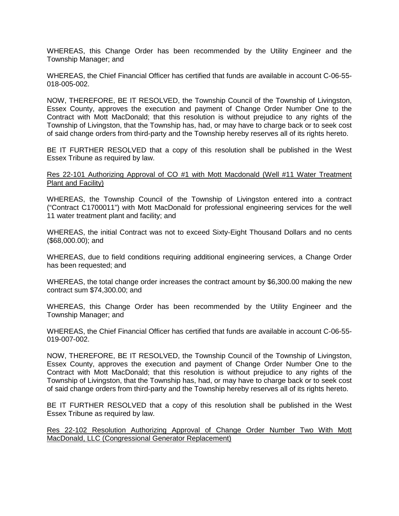WHEREAS, this Change Order has been recommended by the Utility Engineer and the Township Manager; and

WHEREAS, the Chief Financial Officer has certified that funds are available in account C-06-55- 018-005-002.

NOW, THEREFORE, BE IT RESOLVED, the Township Council of the Township of Livingston, Essex County, approves the execution and payment of Change Order Number One to the Contract with Mott MacDonald; that this resolution is without prejudice to any rights of the Township of Livingston, that the Township has, had, or may have to charge back or to seek cost of said change orders from third-party and the Township hereby reserves all of its rights hereto.

BE IT FURTHER RESOLVED that a copy of this resolution shall be published in the West Essex Tribune as required by law.

Res 22-101 Authorizing Approval of CO #1 with Mott Macdonald (Well #11 Water Treatment Plant and Facility)

WHEREAS, the Township Council of the Township of Livingston entered into a contract ("Contract C1700011") with Mott MacDonald for professional engineering services for the well 11 water treatment plant and facility; and

WHEREAS, the initial Contract was not to exceed Sixty-Eight Thousand Dollars and no cents (\$68,000.00); and

WHEREAS, due to field conditions requiring additional engineering services, a Change Order has been requested; and

WHEREAS, the total change order increases the contract amount by \$6,300.00 making the new contract sum \$74,300.00; and

WHEREAS, this Change Order has been recommended by the Utility Engineer and the Township Manager; and

WHEREAS, the Chief Financial Officer has certified that funds are available in account C-06-55- 019-007-002.

NOW, THEREFORE, BE IT RESOLVED, the Township Council of the Township of Livingston, Essex County, approves the execution and payment of Change Order Number One to the Contract with Mott MacDonald; that this resolution is without prejudice to any rights of the Township of Livingston, that the Township has, had, or may have to charge back or to seek cost of said change orders from third-party and the Township hereby reserves all of its rights hereto.

BE IT FURTHER RESOLVED that a copy of this resolution shall be published in the West Essex Tribune as required by law.

Res 22-102 Resolution Authorizing Approval of Change Order Number Two With Mott MacDonald, LLC (Congressional Generator Replacement)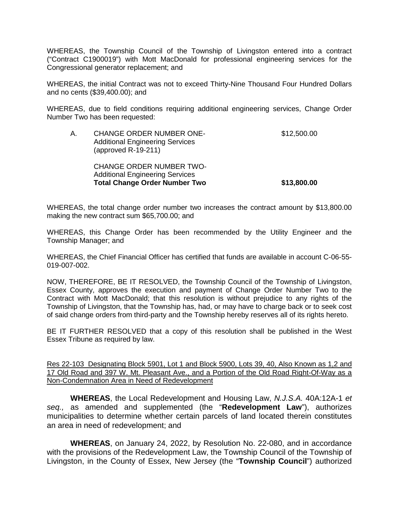WHEREAS, the Township Council of the Township of Livingston entered into a contract ("Contract C1900019") with Mott MacDonald for professional engineering services for the Congressional generator replacement; and

WHEREAS, the initial Contract was not to exceed Thirty-Nine Thousand Four Hundred Dollars and no cents (\$39,400.00); and

WHEREAS, due to field conditions requiring additional engineering services, Change Order Number Two has been requested:

| Α. | <b>CHANGE ORDER NUMBER ONE-</b><br><b>Additional Engineering Services</b><br>(approved $R-19-211$ )               | \$12,500.00 |
|----|-------------------------------------------------------------------------------------------------------------------|-------------|
|    | <b>CHANGE ORDER NUMBER TWO-</b><br><b>Additional Engineering Services</b><br><b>Total Change Order Number Two</b> | \$13,800.00 |

WHEREAS, the total change order number two increases the contract amount by \$13,800.00 making the new contract sum \$65,700.00; and

WHEREAS, this Change Order has been recommended by the Utility Engineer and the Township Manager; and

WHEREAS, the Chief Financial Officer has certified that funds are available in account C-06-55- 019-007-002.

NOW, THEREFORE, BE IT RESOLVED, the Township Council of the Township of Livingston, Essex County, approves the execution and payment of Change Order Number Two to the Contract with Mott MacDonald; that this resolution is without prejudice to any rights of the Township of Livingston, that the Township has, had, or may have to charge back or to seek cost of said change orders from third-party and the Township hereby reserves all of its rights hereto.

BE IT FURTHER RESOLVED that a copy of this resolution shall be published in the West Essex Tribune as required by law.

Res 22-103 Designating Block 5901, Lot 1 and Block 5900, Lots 39, 40, Also Known as 1,2 and 17 Old Road and 397 W. Mt. Pleasant Ave., and a Portion of the Old Road Right-Of-Way as a Non-Condemnation Area in Need of Redevelopment

**WHEREAS**, the Local Redevelopment and Housing Law, *N.J.S.A.* 40A:12A-1 *et seq.,* as amended and supplemented (the "**Redevelopment Law**"), authorizes municipalities to determine whether certain parcels of land located therein constitutes an area in need of redevelopment; and

**WHEREAS**, on January 24, 2022, by Resolution No. 22-080, and in accordance with the provisions of the Redevelopment Law, the Township Council of the Township of Livingston, in the County of Essex, New Jersey (the "**Township Council**") authorized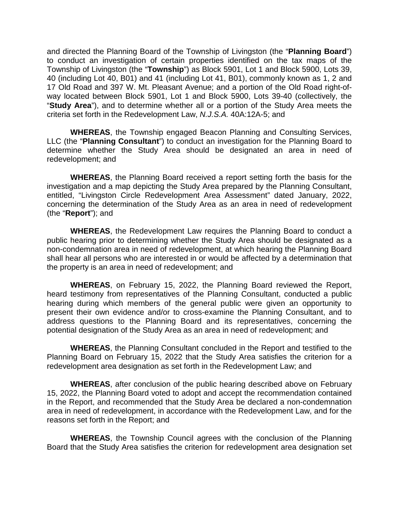and directed the Planning Board of the Township of Livingston (the "**Planning Board**") to conduct an investigation of certain properties identified on the tax maps of the Township of Livingston (the "**Township**") as Block 5901, Lot 1 and Block 5900, Lots 39, 40 (including Lot 40, B01) and 41 (including Lot 41, B01), commonly known as 1, 2 and 17 Old Road and 397 W. Mt. Pleasant Avenue; and a portion of the Old Road right-ofway located between Block 5901, Lot 1 and Block 5900, Lots 39-40 (collectively, the "**Study Area**"), and to determine whether all or a portion of the Study Area meets the criteria set forth in the Redevelopment Law, *N.J.S.A.* 40A:12A-5; and

**WHEREAS**, the Township engaged Beacon Planning and Consulting Services, LLC (the "**Planning Consultant**") to conduct an investigation for the Planning Board to determine whether the Study Area should be designated an area in need of redevelopment; and

**WHEREAS**, the Planning Board received a report setting forth the basis for the investigation and a map depicting the Study Area prepared by the Planning Consultant, entitled, "Livingston Circle Redevelopment Area Assessment" dated January, 2022, concerning the determination of the Study Area as an area in need of redevelopment (the "**Report**"); and

**WHEREAS**, the Redevelopment Law requires the Planning Board to conduct a public hearing prior to determining whether the Study Area should be designated as a non-condemnation area in need of redevelopment, at which hearing the Planning Board shall hear all persons who are interested in or would be affected by a determination that the property is an area in need of redevelopment; and

**WHEREAS**, on February 15, 2022, the Planning Board reviewed the Report, heard testimony from representatives of the Planning Consultant, conducted a public hearing during which members of the general public were given an opportunity to present their own evidence and/or to cross-examine the Planning Consultant, and to address questions to the Planning Board and its representatives, concerning the potential designation of the Study Area as an area in need of redevelopment; and

**WHEREAS**, the Planning Consultant concluded in the Report and testified to the Planning Board on February 15, 2022 that the Study Area satisfies the criterion for a redevelopment area designation as set forth in the Redevelopment Law; and

**WHEREAS**, after conclusion of the public hearing described above on February 15, 2022, the Planning Board voted to adopt and accept the recommendation contained in the Report, and recommended that the Study Area be declared a non-condemnation area in need of redevelopment, in accordance with the Redevelopment Law, and for the reasons set forth in the Report; and

**WHEREAS**, the Township Council agrees with the conclusion of the Planning Board that the Study Area satisfies the criterion for redevelopment area designation set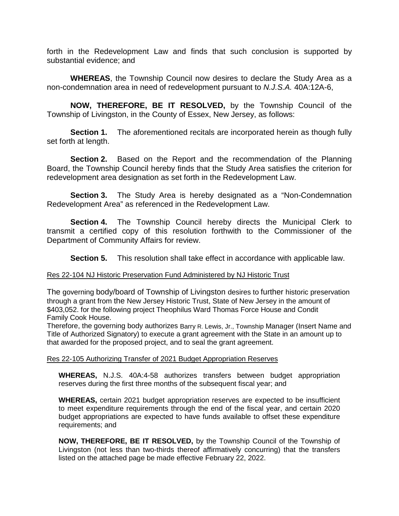forth in the Redevelopment Law and finds that such conclusion is supported by substantial evidence; and

**WHEREAS**, the Township Council now desires to declare the Study Area as a non-condemnation area in need of redevelopment pursuant to *N.J.S.A.* 40A:12A-6,

**NOW, THEREFORE, BE IT RESOLVED,** by the Township Council of the Township of Livingston, in the County of Essex, New Jersey, as follows:

**Section 1.** The aforementioned recitals are incorporated herein as though fully set forth at length.

**Section 2.** Based on the Report and the recommendation of the Planning Board, the Township Council hereby finds that the Study Area satisfies the criterion for redevelopment area designation as set forth in the Redevelopment Law.

**Section 3.** The Study Area is hereby designated as a "Non-Condemnation Redevelopment Area" as referenced in the Redevelopment Law.

**Section 4.** The Township Council hereby directs the Municipal Clerk to transmit a certified copy of this resolution forthwith to the Commissioner of the Department of Community Affairs for review.

**Section 5.** This resolution shall take effect in accordance with applicable law.

# Res 22-104 NJ Historic Preservation Fund Administered by NJ Historic Trust

The governing body/board of Township of Livingston desires to further historic preservation through a grant from the New Jersey Historic Trust, State of New Jersey in the amount of \$403,052. for the following project Theophilus Ward Thomas Force House and Condit Family Cook House.

Therefore, the governing body authorizes Barry R. Lewis, Jr., Township Manager (Insert Name and Title of Authorized Signatory) to execute a grant agreement with the State in an amount up to that awarded for the proposed project, and to seal the grant agreement.

## Res 22-105 Authorizing Transfer of 2021 Budget Appropriation Reserves

**WHEREAS,** N.J.S. 40A:4-58 authorizes transfers between budget appropriation reserves during the first three months of the subsequent fiscal year; and

**WHEREAS,** certain 2021 budget appropriation reserves are expected to be insufficient to meet expenditure requirements through the end of the fiscal year, and certain 2020 budget appropriations are expected to have funds available to offset these expenditure requirements; and

**NOW, THEREFORE, BE IT RESOLVED,** by the Township Council of the Township of Livingston (not less than two-thirds thereof affirmatively concurring) that the transfers listed on the attached page be made effective February 22, 2022.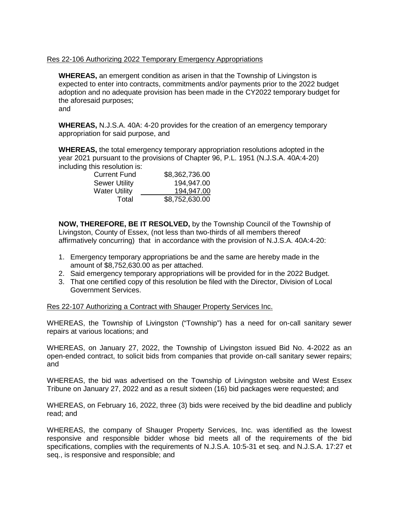# Res 22-106 Authorizing 2022 Temporary Emergency Appropriations

**WHEREAS,** an emergent condition as arisen in that the Township of Livingston is expected to enter into contracts, commitments and/or payments prior to the 2022 budget adoption and no adequate provision has been made in the CY2022 temporary budget for the aforesaid purposes; and

**WHEREAS,** N.J.S.A. 40A: 4-20 provides for the creation of an emergency temporary appropriation for said purpose, and

**WHEREAS,** the total emergency temporary appropriation resolutions adopted in the year 2021 pursuant to the provisions of Chapter 96, P.L. 1951 (N.J.S.A. 40A:4-20) including this resolution is:

| <b>Current Fund</b>  | \$8,362,736.00 |
|----------------------|----------------|
| <b>Sewer Utility</b> | 194,947.00     |
| <b>Water Utility</b> | 194.947.00     |
| Total                | \$8,752,630.00 |

**NOW, THEREFORE, BE IT RESOLVED,** by the Township Council of the Township of Livingston, County of Essex, (not less than two-thirds of all members thereof affirmatively concurring) that in accordance with the provision of N.J.S.A. 40A:4-20:

- 1. Emergency temporary appropriations be and the same are hereby made in the amount of \$8,752,630.00 as per attached.
- 2. Said emergency temporary appropriations will be provided for in the 2022 Budget.
- 3. That one certified copy of this resolution be filed with the Director, Division of Local Government Services.

## Res 22-107 Authorizing a Contract with Shauger Property Services Inc.

WHEREAS, the Township of Livingston ("Township") has a need for on-call sanitary sewer repairs at various locations; and

WHEREAS, on January 27, 2022, the Township of Livingston issued Bid No. 4-2022 as an open-ended contract, to solicit bids from companies that provide on-call sanitary sewer repairs; and

WHEREAS, the bid was advertised on the Township of Livingston website and West Essex Tribune on January 27, 2022 and as a result sixteen (16) bid packages were requested; and

WHEREAS, on February 16, 2022, three (3) bids were received by the bid deadline and publicly read; and

WHEREAS, the company of Shauger Property Services, Inc. was identified as the lowest responsive and responsible bidder whose bid meets all of the requirements of the bid specifications, complies with the requirements of N.J.S.A. 10:5-31 et seq. and N.J.S.A. 17:27 et seq., is responsive and responsible; and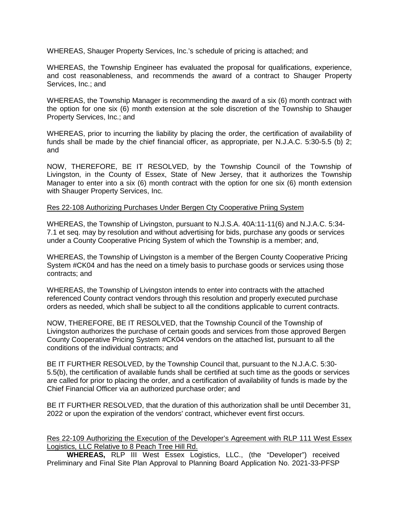WHEREAS, Shauger Property Services, Inc.'s schedule of pricing is attached; and

WHEREAS, the Township Engineer has evaluated the proposal for qualifications, experience, and cost reasonableness, and recommends the award of a contract to Shauger Property Services, Inc.; and

WHEREAS, the Township Manager is recommending the award of a six (6) month contract with the option for one six (6) month extension at the sole discretion of the Township to Shauger Property Services, Inc.; and

WHEREAS, prior to incurring the liability by placing the order, the certification of availability of funds shall be made by the chief financial officer, as appropriate, per N.J.A.C. 5:30-5.5 (b) 2; and

NOW, THEREFORE, BE IT RESOLVED, by the Township Council of the Township of Livingston, in the County of Essex, State of New Jersey, that it authorizes the Township Manager to enter into a six (6) month contract with the option for one six (6) month extension with Shauger Property Services, Inc.

## Res 22-108 Authorizing Purchases Under Bergen Cty Cooperative Priing System

WHEREAS, the Township of Livingston, pursuant to N.J.S.A. 40A:11-11(6) and N.J.A.C. 5:34- 7.1 et seq. may by resolution and without advertising for bids, purchase any goods or services under a County Cooperative Pricing System of which the Township is a member; and,

WHEREAS, the Township of Livingston is a member of the Bergen County Cooperative Pricing System #CK04 and has the need on a timely basis to purchase goods or services using those contracts; and

WHEREAS, the Township of Livingston intends to enter into contracts with the attached referenced County contract vendors through this resolution and properly executed purchase orders as needed, which shall be subject to all the conditions applicable to current contracts.

NOW, THEREFORE, BE IT RESOLVED, that the Township Council of the Township of Livingston authorizes the purchase of certain goods and services from those approved Bergen County Cooperative Pricing System #CK04 vendors on the attached list, pursuant to all the conditions of the individual contracts; and

BE IT FURTHER RESOLVED, by the Township Council that, pursuant to the N.J.A.C. 5:30- 5.5(b), the certification of available funds shall be certified at such time as the goods or services are called for prior to placing the order, and a certification of availability of funds is made by the Chief Financial Officer via an authorized purchase order; and

BE IT FURTHER RESOLVED, that the duration of this authorization shall be until December 31, 2022 or upon the expiration of the vendors' contract, whichever event first occurs.

# Res 22-109 Authorizing the Execution of the Developer's Agreement with RLP 111 West Essex Logistics, LLC Relative to 8 Peach Tree Hill Rd.

**WHEREAS,** RLP III West Essex Logistics, LLC., (the "Developer") received Preliminary and Final Site Plan Approval to Planning Board Application No. 2021-33-PFSP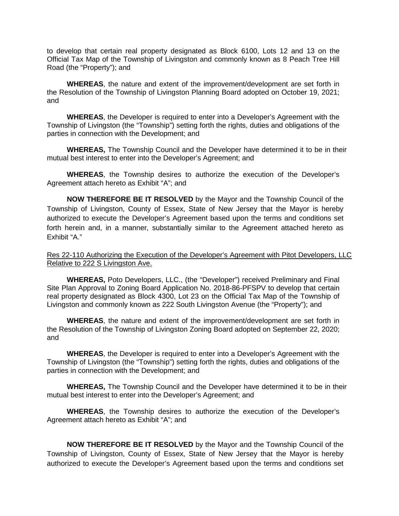to develop that certain real property designated as Block 6100, Lots 12 and 13 on the Official Tax Map of the Township of Livingston and commonly known as 8 Peach Tree Hill Road (the "Property"); and

**WHEREAS**, the nature and extent of the improvement/development are set forth in the Resolution of the Township of Livingston Planning Board adopted on October 19, 2021; and

**WHEREAS**, the Developer is required to enter into a Developer's Agreement with the Township of Livingston (the "Township") setting forth the rights, duties and obligations of the parties in connection with the Development; and

**WHEREAS,** The Township Council and the Developer have determined it to be in their mutual best interest to enter into the Developer's Agreement; and

**WHEREAS**, the Township desires to authorize the execution of the Developer's Agreement attach hereto as Exhibit "A"; and

**NOW THEREFORE BE IT RESOLVED** by the Mayor and the Township Council of the Township of Livingston, County of Essex, State of New Jersey that the Mayor is hereby authorized to execute the Developer's Agreement based upon the terms and conditions set forth herein and, in a manner, substantially similar to the Agreement attached hereto as Exhibit "A."

Res 22-110 Authorizing the Execution of the Developer's Agreement with Pitot Developers, LLC Relative to 222 S Livingston Ave.

**WHEREAS,** Poto Developers, LLC., (the "Developer") received Preliminary and Final Site Plan Approval to Zoning Board Application No. 2018-86-PFSPV to develop that certain real property designated as Block 4300, Lot 23 on the Official Tax Map of the Township of Livingston and commonly known as 222 South Livingston Avenue (the "Property"); and

**WHEREAS**, the nature and extent of the improvement/development are set forth in the Resolution of the Township of Livingston Zoning Board adopted on September 22, 2020; and

**WHEREAS**, the Developer is required to enter into a Developer's Agreement with the Township of Livingston (the "Township") setting forth the rights, duties and obligations of the parties in connection with the Development; and

**WHEREAS,** The Township Council and the Developer have determined it to be in their mutual best interest to enter into the Developer's Agreement; and

**WHEREAS**, the Township desires to authorize the execution of the Developer's Agreement attach hereto as Exhibit "A"; and

**NOW THEREFORE BE IT RESOLVED** by the Mayor and the Township Council of the Township of Livingston, County of Essex, State of New Jersey that the Mayor is hereby authorized to execute the Developer's Agreement based upon the terms and conditions set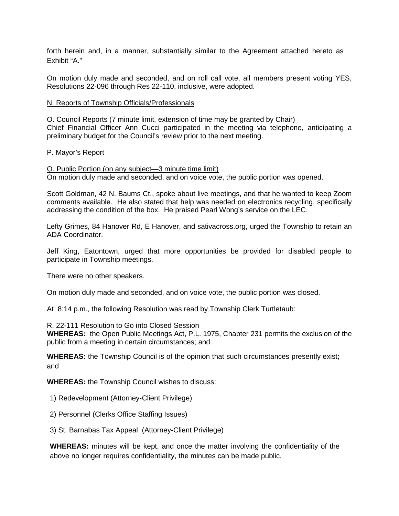forth herein and, in a manner, substantially similar to the Agreement attached hereto as Exhibit "A."

On motion duly made and seconded, and on roll call vote, all members present voting YES, Resolutions 22-096 through Res 22-110, inclusive, were adopted.

#### N. Reports of Township Officials/Professionals

O. Council Reports (7 minute limit, extension of time may be granted by Chair) Chief Financial Officer Ann Cucci participated in the meeting via telephone, anticipating a preliminary budget for the Council's review prior to the next meeting.

#### P. Mayor's Report

Q. Public Portion (on any subject—3 minute time limit) On motion duly made and seconded, and on voice vote, the public portion was opened.

Scott Goldman, 42 N. Baums Ct., spoke about live meetings, and that he wanted to keep Zoom comments available. He also stated that help was needed on electronics recycling, specifically addressing the condition of the box. He praised Pearl Wong's service on the LEC.

Lefty Grimes, 84 Hanover Rd, E Hanover, and sativacross.org, urged the Township to retain an ADA Coordinator.

Jeff King, Eatontown, urged that more opportunities be provided for disabled people to participate in Township meetings.

There were no other speakers.

On motion duly made and seconded, and on voice vote, the public portion was closed.

At 8:14 p.m., the following Resolution was read by Township Clerk Turtletaub:

#### R. 22-111 Resolution to Go into Closed Session

**WHEREAS:** the Open Public Meetings Act, P.L. 1975, Chapter 231 permits the exclusion of the public from a meeting in certain circumstances; and

**WHEREAS:** the Township Council is of the opinion that such circumstances presently exist; and

**WHEREAS:** the Township Council wishes to discuss:

- 1) Redevelopment (Attorney-Client Privilege)
- 2) Personnel (Clerks Office Staffing Issues)
- 3) St. Barnabas Tax Appeal (Attorney-Client Privilege)

**WHEREAS:** minutes will be kept, and once the matter involving the confidentiality of the above no longer requires confidentiality, the minutes can be made public.